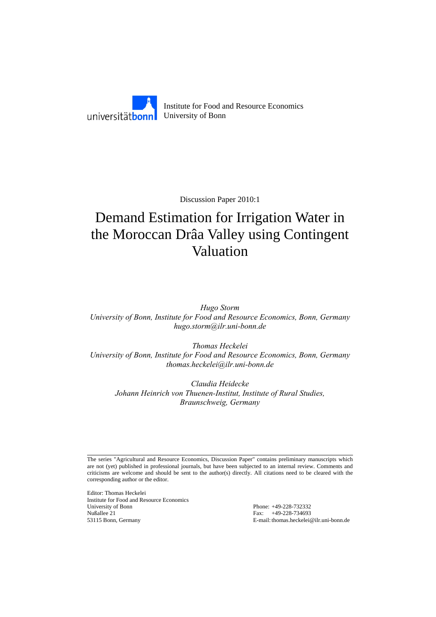

Discussion Paper 2010:1

# Demand Estimation for Irrigation Water in the Moroccan Drâa Valley using Contingent Valuation

*Hugo Storm University of Bonn, Institute for Food and Resource Economics, Bonn, Germany hugo.storm@ilr.uni-bonn.de* 

*Thomas Heckelei University of Bonn, Institute for Food and Resource Economics, Bonn, Germany thomas.heckelei@ilr.uni-bonn.de* 

*Claudia Heidecke Johann Heinrich von Thuenen-Institut, Institute of Rural Studies, Braunschweig, Germany* 

The series "Agricultural and Resource Economics, Discussion Paper" contains preliminary manuscripts which are not (yet) published in professional journals, but have been subjected to an internal review. Comments and criticisms are welcome and should be sent to the author(s) directly. All citations need to be cleared with the corresponding author or the editor.

Editor: Thomas Heckelei Institute for Food and Resource Economics University of Bonn Phone: +49-228-732332 Nußallee 21 Fax: +49-228-734693<br>53115 Bonn, Germany E-mail: thomas.heckelei

E-mail: thomas.heckelei@ilr.uni-bonn.de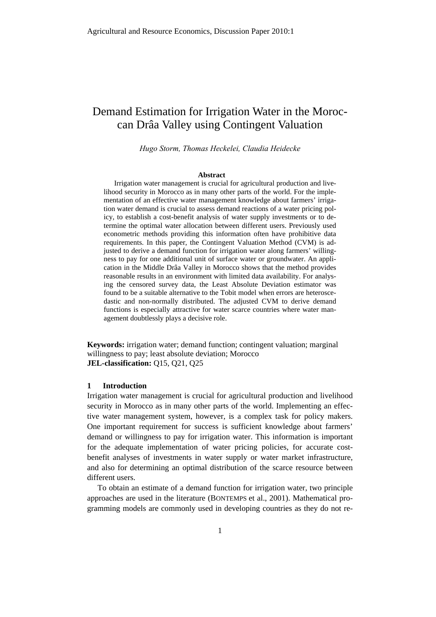# Demand Estimation for Irrigation Water in the Moroccan Drâa Valley using Contingent Valuation

*Hugo Storm, Thomas Heckelei, Claudia Heidecke* 

#### **Abstract**

Irrigation water management is crucial for agricultural production and livelihood security in Morocco as in many other parts of the world. For the implementation of an effective water management knowledge about farmers' irrigation water demand is crucial to assess demand reactions of a water pricing policy, to establish a cost-benefit analysis of water supply investments or to determine the optimal water allocation between different users. Previously used econometric methods providing this information often have prohibitive data requirements. In this paper, the Contingent Valuation Method (CVM) is adjusted to derive a demand function for irrigation water along farmers' willingness to pay for one additional unit of surface water or groundwater. An application in the Middle Drâa Valley in Morocco shows that the method provides reasonable results in an environment with limited data availability. For analysing the censored survey data, the Least Absolute Deviation estimator was found to be a suitable alternative to the Tobit model when errors are heteroscedastic and non-normally distributed. The adjusted CVM to derive demand functions is especially attractive for water scarce countries where water management doubtlessly plays a decisive role.

**Keywords:** irrigation water; demand function; contingent valuation; marginal willingness to pay; least absolute deviation; Morocco **JEL-classification:** Q15, Q21, Q25

# **1 Introduction**

Irrigation water management is crucial for agricultural production and livelihood security in Morocco as in many other parts of the world. Implementing an effective water management system, however, is a complex task for policy makers. One important requirement for success is sufficient knowledge about farmers' demand or willingness to pay for irrigation water. This information is important for the adequate implementation of water pricing policies, for accurate costbenefit analyses of investments in water supply or water market infrastructure, and also for determining an optimal distribution of the scarce resource between different users.

To obtain an estimate of a demand function for irrigation water, two principle approaches are used in the literature (BONTEMPS et al., 2001). Mathematical programming models are commonly used in developing countries as they do not re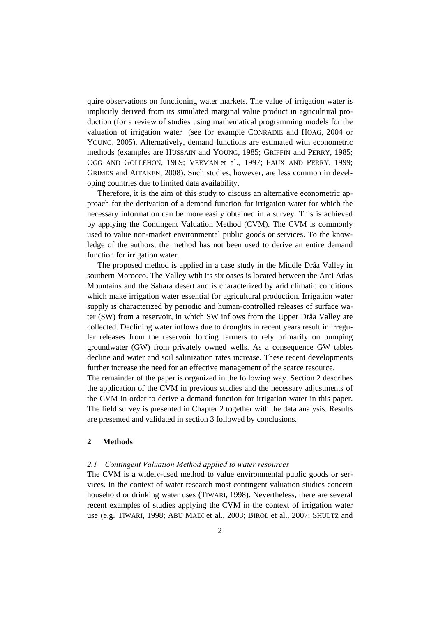quire observations on functioning water markets. The value of irrigation water is implicitly derived from its simulated marginal value product in agricultural production (for a review of studies using mathematical programming models for the valuation of irrigation water (see for example CONRADIE and HOAG, 2004 or YOUNG, 2005). Alternatively, demand functions are estimated with econometric methods (examples are HUSSAIN and YOUNG, 1985; GRIFFIN and PERRY, 1985; OGG AND GOLLEHON, 1989; VEEMAN et al., 1997; FAUX AND PERRY, 1999; GRIMES and AITAKEN, 2008). Such studies, however, are less common in developing countries due to limited data availability.

Therefore, it is the aim of this study to discuss an alternative econometric approach for the derivation of a demand function for irrigation water for which the necessary information can be more easily obtained in a survey. This is achieved by applying the Contingent Valuation Method (CVM). The CVM is commonly used to value non-market environmental public goods or services. To the knowledge of the authors, the method has not been used to derive an entire demand function for irrigation water.

The proposed method is applied in a case study in the Middle Drâa Valley in southern Morocco. The Valley with its six oases is located between the Anti Atlas Mountains and the Sahara desert and is characterized by arid climatic conditions which make irrigation water essential for agricultural production. Irrigation water supply is characterized by periodic and human-controlled releases of surface water (SW) from a reservoir, in which SW inflows from the Upper Drâa Valley are collected. Declining water inflows due to droughts in recent years result in irregular releases from the reservoir forcing farmers to rely primarily on pumping groundwater (GW) from privately owned wells. As a consequence GW tables decline and water and soil salinization rates increase. These recent developments further increase the need for an effective management of the scarce resource.

The remainder of the paper is organized in the following way. Section 2 describes the application of the CVM in previous studies and the necessary adjustments of the CVM in order to derive a demand function for irrigation water in this paper. The field survey is presented in Chapter 2 together with the data analysis. Results are presented and validated in section 3 followed by conclusions.

# **2 Methods**

# *2.1 Contingent Valuation Method applied to water resources*

The CVM is a widely-used method to value environmental public goods or services. In the context of water research most contingent valuation studies concern household or drinking water uses (TIWARI, 1998). Nevertheless, there are several recent examples of studies applying the CVM in the context of irrigation water use (e.g. TIWARI, 1998; ABU MADI et al., 2003; BIROL et al., 2007; SHULTZ and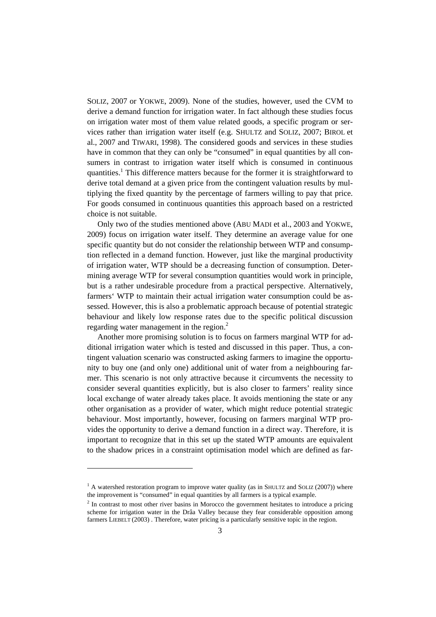SOLIZ, 2007 or YOKWE, 2009). None of the studies, however, used the CVM to derive a demand function for irrigation water. In fact although these studies focus on irrigation water most of them value related goods, a specific program or services rather than irrigation water itself (e.g. SHULTZ and SOLIZ, 2007; BIROL et al., 2007 and TIWARI, 1998). The considered goods and services in these studies have in common that they can only be "consumed" in equal quantities by all consumers in contrast to irrigation water itself which is consumed in continuous quantities.<sup>1</sup> This difference matters because for the former it is straightforward to derive total demand at a given price from the contingent valuation results by multiplying the fixed quantity by the percentage of farmers willing to pay that price. For goods consumed in continuous quantities this approach based on a restricted choice is not suitable.

Only two of the studies mentioned above (ABU MADI et al., 2003 and YOKWE, 2009) focus on irrigation water itself. They determine an average value for one specific quantity but do not consider the relationship between WTP and consumption reflected in a demand function. However, just like the marginal productivity of irrigation water, WTP should be a decreasing function of consumption. Determining average WTP for several consumption quantities would work in principle, but is a rather undesirable procedure from a practical perspective. Alternatively, farmers' WTP to maintain their actual irrigation water consumption could be assessed. However, this is also a problematic approach because of potential strategic behaviour and likely low response rates due to the specific political discussion regarding water management in the region. $2$ 

Another more promising solution is to focus on farmers marginal WTP for additional irrigation water which is tested and discussed in this paper. Thus, a contingent valuation scenario was constructed asking farmers to imagine the opportunity to buy one (and only one) additional unit of water from a neighbouring farmer. This scenario is not only attractive because it circumvents the necessity to consider several quantities explicitly, but is also closer to farmers' reality since local exchange of water already takes place. It avoids mentioning the state or any other organisation as a provider of water, which might reduce potential strategic behaviour. Most importantly, however, focusing on farmers marginal WTP provides the opportunity to derive a demand function in a direct way. Therefore, it is important to recognize that in this set up the stated WTP amounts are equivalent to the shadow prices in a constraint optimisation model which are defined as far-

l

<sup>&</sup>lt;sup>1</sup> A watershed restoration program to improve water quality (as in SHULTZ and SOLIZ (2007)) where the improvement is "consumed" in equal quantities by all farmers is a typical example.

 $2<sup>2</sup>$  In contrast to most other river basins in Morocco the government hesitates to introduce a pricing scheme for irrigation water in the Drâa Valley because they fear considerable opposition among farmers LIEBELT (2003) . Therefore, water pricing is a particularly sensitive topic in the region.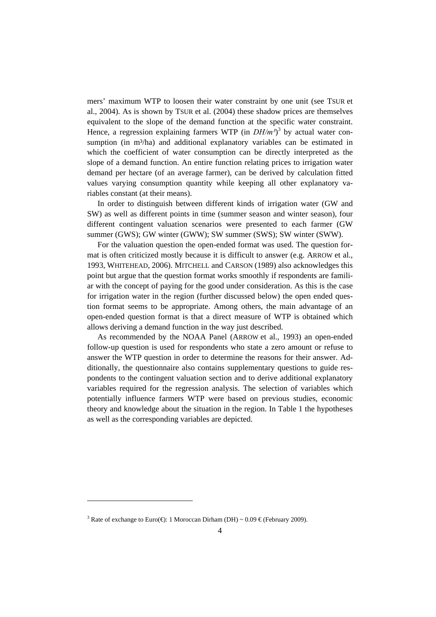mers' maximum WTP to loosen their water constraint by one unit (see TSUR et al., 2004). As is shown by TSUR et al. (2004) these shadow prices are themselves equivalent to the slope of the demand function at the specific water constraint. Hence, a regression explaining farmers WTP (in  $DH/m<sup>3</sup>$ )<sup>3</sup> by actual water consumption (in m<sup>3</sup>/ha) and additional explanatory variables can be estimated in which the coefficient of water consumption can be directly interpreted as the slope of a demand function. An entire function relating prices to irrigation water demand per hectare (of an average farmer), can be derived by calculation fitted values varying consumption quantity while keeping all other explanatory variables constant (at their means).

In order to distinguish between different kinds of irrigation water (GW and SW) as well as different points in time (summer season and winter season), four different contingent valuation scenarios were presented to each farmer (GW summer (GWS); GW winter (GWW); SW summer (SWS); SW winter (SWW).

For the valuation question the open-ended format was used. The question format is often criticized mostly because it is difficult to answer (e.g. ARROW et al., 1993, WHITEHEAD, 2006). MITCHELL and CARSON (1989) also acknowledges this point but argue that the question format works smoothly if respondents are familiar with the concept of paying for the good under consideration. As this is the case for irrigation water in the region (further discussed below) the open ended question format seems to be appropriate. Among others, the main advantage of an open-ended question format is that a direct measure of WTP is obtained which allows deriving a demand function in the way just described.

As recommended by the NOAA Panel (ARROW et al., 1993) an open-ended follow-up question is used for respondents who state a zero amount or refuse to answer the WTP question in order to determine the reasons for their answer. Additionally, the questionnaire also contains supplementary questions to guide respondents to the contingent valuation section and to derive additional explanatory variables required for the regression analysis. The selection of variables which potentially influence farmers WTP were based on previous studies, economic theory and knowledge about the situation in the region. In Table 1 the hypotheses as well as the corresponding variables are depicted.

l

<sup>&</sup>lt;sup>3</sup> Rate of exchange to Euro( $\bigoplus$ : 1 Moroccan Dirham (DH) ~ 0.09  $\bigoplus$  (February 2009).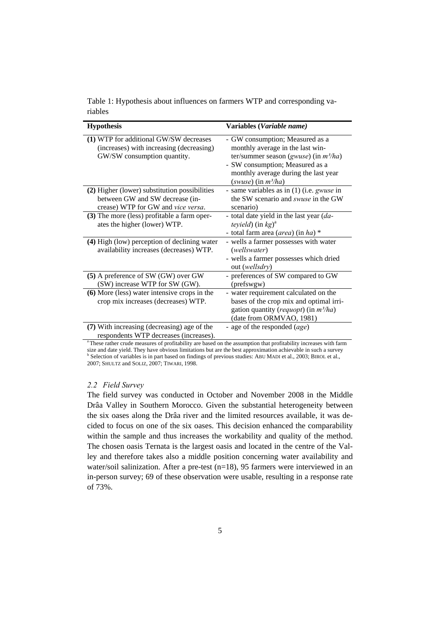| Table 1: Hypothesis about influences on farmers WTP and corresponding va- |  |  |
|---------------------------------------------------------------------------|--|--|
| riables                                                                   |  |  |

| <b>Hypothesis</b>                                                                                                      | Variables (Variable name)                                                                                                                                                                                            |
|------------------------------------------------------------------------------------------------------------------------|----------------------------------------------------------------------------------------------------------------------------------------------------------------------------------------------------------------------|
| (1) WTP for additional GW/SW decreases<br>(increases) with increasing (decreasing)<br>GW/SW consumption quantity.      | - GW consumption; Measured as a<br>monthly average in the last win-<br>ter/summer season (gwuse) (in $m^3/ha$ )<br>- SW consumption; Measured as a<br>monthly average during the last year<br>(swuse) (in $m^3/ha$ ) |
| (2) Higher (lower) substitution possibilities<br>between GW and SW decrease (in-<br>crease) WTP for GW and vice versa. | - same variables as in (1) (i.e. gwuse in<br>the SW scenario and swuse in the GW<br>scenario)                                                                                                                        |
| (3) The more (less) profitable a farm oper-<br>ates the higher (lower) WTP.                                            | - total date yield in the last year (da-<br><i>teyield</i> ) (in $kg$ <sup>a</sup><br>- total farm area (area) (in ha) *                                                                                             |
| (4) High (low) perception of declining water<br>availability increases (decreases) WTP.                                | - wells a farmer possesses with water<br>(wellswater)<br>- wells a farmer possesses which dried<br>out (wellsdry)                                                                                                    |
| (5) A preference of SW (GW) over GW<br>(SW) increase WTP for SW (GW).                                                  | - preferences of SW compared to GW<br>(prefswgw)                                                                                                                                                                     |
| (6) More (less) water intensive crops in the<br>crop mix increases (decreases) WTP.                                    | - water requirement calculated on the<br>bases of the crop mix and optimal irri-<br>gation quantity ( <i>requopt</i> ) (in $m^3/ha$ )<br>(date from ORMVAO, 1981)                                                    |
| (7) With increasing (decreasing) age of the<br>respondents WTP decreases (increases).                                  | - age of the responded (age)                                                                                                                                                                                         |

<sup>a</sup> These rather crude measures of profitability are based on the assumption that profitability increases with farm size and date yield. They have obvious limitations but are the best approximation achievable in such a survey<br><sup>b</sup> Selection of variables is in part based on findings of previous studies: ABU MADI et al., 2003; BIROL et al. 2007; SHULTZ and SOLIZ, 2007; TIWARI, 1998.

# *2.2 Field Survey*

The field survey was conducted in October and November 2008 in the Middle Drâa Valley in Southern Morocco. Given the substantial heterogeneity between the six oases along the Drâa river and the limited resources available, it was decided to focus on one of the six oases. This decision enhanced the comparability within the sample and thus increases the workability and quality of the method. The chosen oasis Ternata is the largest oasis and located in the centre of the Valley and therefore takes also a middle position concerning water availability and water/soil salinization. After a pre-test (n=18), 95 farmers were interviewed in an in-person survey; 69 of these observation were usable, resulting in a response rate of 73%.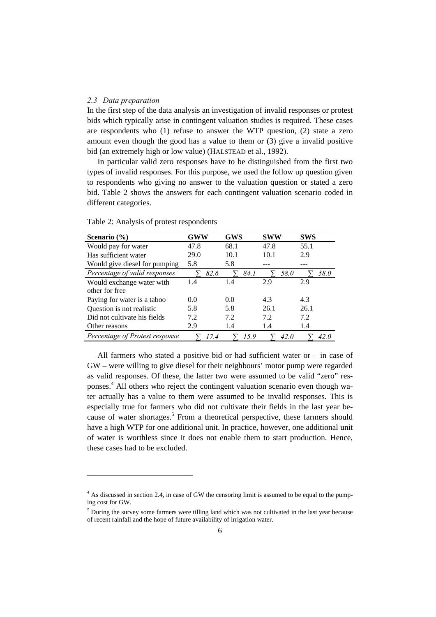#### *2.3 Data preparation*

l

In the first step of the data analysis an investigation of invalid responses or protest bids which typically arise in contingent valuation studies is required. These cases are respondents who (1) refuse to answer the WTP question, (2) state a zero amount even though the good has a value to them or (3) give a invalid positive bid (an extremely high or low value) (HALSTEAD et al., 1992).

In particular valid zero responses have to be distinguished from the first two types of invalid responses. For this purpose, we used the follow up question given to respondents who giving no answer to the valuation question or stated a zero bid. Table 2 shows the answers for each contingent valuation scenario coded in different categories.

| Scenario (%)                   | GWW  | <b>GWS</b> | <b>SWW</b> | <b>SWS</b> |
|--------------------------------|------|------------|------------|------------|
| Would pay for water            | 47.8 | 68.1       | 47.8       | 55.1       |
| Has sufficient water           | 29.0 | 10.1       | 10.1       | 2.9        |
| Would give diesel for pumping  | 5.8  | 5.8        |            |            |
| Percentage of valid responses  | 82.6 | 84. I      | 58.0       | 58.0       |
| Would exchange water with      | 1.4  | 1.4        | 2.9        | 2.9        |
| other for free                 |      |            |            |            |
| Paying for water is a taboo    | 0.0  | 0.0        | 4.3        | 4.3        |
| Question is not realistic      | 5.8  | 5.8        | 26.1       | 26.1       |
| Did not cultivate his fields   | 7.2  | 7.2        | 7.2        | 7.2        |
| Other reasons                  | 2.9  | 1.4        | 1.4        | 1.4        |
| Percentage of Protest response | 17.4 | 15.9       | 42.0       | 42.0       |

Table 2: Analysis of protest respondents

All farmers who stated a positive bid or had sufficient water or – in case of GW – were willing to give diesel for their neighbours' motor pump were regarded as valid responses. Of these, the latter two were assumed to be valid "zero" responses.<sup>4</sup> All others who reject the contingent valuation scenario even though water actually has a value to them were assumed to be invalid responses. This is especially true for farmers who did not cultivate their fields in the last year because of water shortages.<sup>5</sup> From a theoretical perspective, these farmers should have a high WTP for one additional unit. In practice, however, one additional unit of water is worthless since it does not enable them to start production. Hence, these cases had to be excluded.

<sup>&</sup>lt;sup>4</sup> As discussed in section 2.4, in case of GW the censoring limit is assumed to be equal to the pumping cost for GW.

<sup>&</sup>lt;sup>5</sup> During the survey some farmers were tilling land which was not cultivated in the last year because of recent rainfall and the hope of future availability of irrigation water.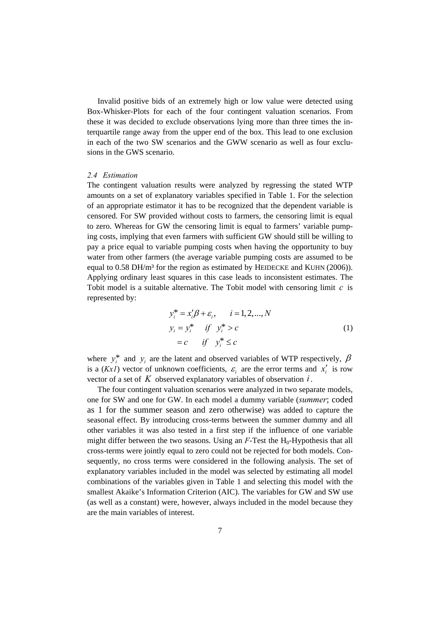Invalid positive bids of an extremely high or low value were detected using Box-Whisker-Plots for each of the four contingent valuation scenarios. From these it was decided to exclude observations lying more than three times the interquartile range away from the upper end of the box. This lead to one exclusion in each of the two SW scenarios and the GWW scenario as well as four exclusions in the GWS scenario.

# *2.4 Estimation*

The contingent valuation results were analyzed by regressing the stated WTP amounts on a set of explanatory variables specified in Table 1. For the selection of an appropriate estimator it has to be recognized that the dependent variable is censored. For SW provided without costs to farmers, the censoring limit is equal to zero. Whereas for GW the censoring limit is equal to farmers' variable pumping costs, implying that even farmers with sufficient GW should still be willing to pay a price equal to variable pumping costs when having the opportunity to buy water from other farmers (the average variable pumping costs are assumed to be equal to 0.58 DH/m<sup>3</sup> for the region as estimated by HEIDECKE and KUHN (2006)). Applying ordinary least squares in this case leads to inconsistent estimates. The Tobit model is a suitable alternative. The Tobit model with censoring limit *c* is represented by:

$$
y_i^* = x_i'\beta + \varepsilon_i, \qquad i = 1, 2, \dots, N
$$
  
\n
$$
y_i = y_i^* \qquad \text{if} \quad y_i^* > c
$$
  
\n
$$
= c \qquad \text{if} \quad y_i^* \le c
$$
\n(1)

where  $y_i^*$  and  $y_i$  are the latent and observed variables of WTP respectively,  $\beta$ is a (*Kx1*) vector of unknown coefficients,  $\varepsilon$ , are the error terms and  $x'$  is row vector of a set of *K* observed explanatory variables of observation *i*.

The four contingent valuation scenarios were analyzed in two separate models, one for SW and one for GW. In each model a dummy variable (*summer*; coded as 1 for the summer season and zero otherwise) was added to capture the seasonal effect. By introducing cross-terms between the summer dummy and all other variables it was also tested in a first step if the influence of one variable might differ between the two seasons. Using an  $F$ -Test the  $H_0$ -Hypothesis that all cross-terms were jointly equal to zero could not be rejected for both models. Consequently, no cross terms were considered in the following analysis. The set of explanatory variables included in the model was selected by estimating all model combinations of the variables given in Table 1 and selecting this model with the smallest Akaike's Information Criterion (AIC). The variables for GW and SW use (as well as a constant) were, however, always included in the model because they are the main variables of interest.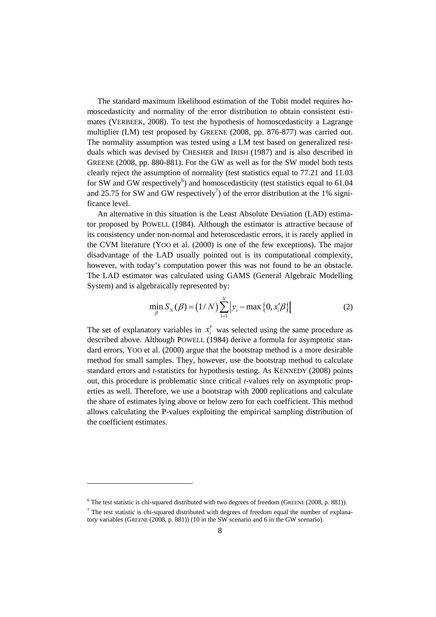The standard maximum likelihood estimation of the Tobit model requires homoscedasticity and normality of the error distribution to obtain consistent estimates (VERBEEK, 2008). To test the hypothesis of homoscedasticity a Lagrange multiplier (LM) test proposed by GREENE (2008, pp. 876-877) was carried out. The normality assumption was tested using a LM test based on generalized residuals which was devised by CHESHER and IRISH (1987) and is also described in GREENE (2008, pp. 880-881). For the GW as well as for the SW model both tests clearly reject the assumption of normality (test statistics equal to 77.21 and 11.03 for SW and GW respectively<sup>6</sup>) and homoscedasticity (test statistics equal to  $61.04$ and 25.75 for SW and GW respectively<sup>7</sup>) of the error distribution at the 1% significance level.

An alternative in this situation is the Least Absolute Deviation (LAD) estimator proposed by POWELL (1984). Although the estimator is attractive because of its consistency under non-normal and heteroscedastic errors, it is rarely applied in the CVM literature (YOO et al. (2000) is one of the few exceptions). The major disadvantage of the LAD usually pointed out is its computational complexity, however, with today's computation power this was not found to be an obstacle. The LAD estimator was calculated using GAMS (General Algebraic Modelling System) and is algebraically represented by:

$$
\min_{\beta} S_N(\beta) = (1/N) \sum_{i=1}^N \left| y_i - \max \left\{ 0, x'_i \beta \right\} \right| \tag{2}
$$

The set of explanatory variables in  $x'$  was selected using the same procedure as described above. Although POWELL (1984) derive a formula for asymptotic standard errors, YOO et al. (2000) argue that the bootstrap method is a more desirable method for small samples. They, however, use the bootstrap method to calculate standard errors and *t*-statistics for hypothesis testing. As KENNEDY (2008) points out, this procedure is problematic since critical *t*-values rely on asymptotic properties as well. Therefore, we use a bootstrap with 2000 replications and calculate the share of estimates lying above or below zero for each coefficient. This method allows calculating the P-values exploiting the empirical sampling distribution of the coefficient estimates.

l

 $6$  The test statistic is chi-squared distributed with two degrees of freedom (GREENE (2008, p. 881)).

 $<sup>7</sup>$  The test statistic is chi-squared distributed with degrees of freedom equal the number of explana-</sup> tory variables (GREENE (2008, p. 881)) (10 in the SW scenario and 6 in the GW scenario).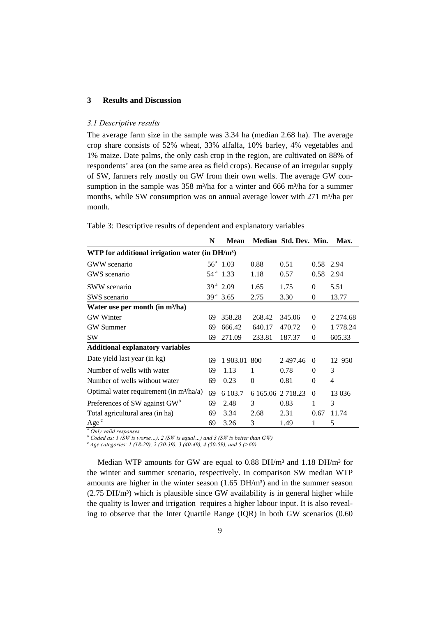# **3 Results and Discussion**

#### *3.1 Descriptive results*

The average farm size in the sample was 3.34 ha (median 2.68 ha). The average crop share consists of 52% wheat, 33% alfalfa, 10% barley, 4% vegetables and 1% maize. Date palms, the only cash crop in the region, are cultivated on 88% of respondents' area (on the same area as field crops). Because of an irregular supply of SW, farmers rely mostly on GW from their own wells. The average GW consumption in the sample was 358 m<sup>3</sup>/ha for a winter and 666 m<sup>3</sup>/ha for a summer months, while SW consumption was on annual average lower with 271 m<sup>3</sup>/ha per month.

|                                                    | N  | <b>Mean</b>          |                   | Median Std. Dev. Min. |          | Max.        |
|----------------------------------------------------|----|----------------------|-------------------|-----------------------|----------|-------------|
| WTP for additional irrigation water (in $DH/m^3$ ) |    |                      |                   |                       |          |             |
| <b>GWW</b> scenario                                |    | $56^a$ 1.03          | 0.88              | 0.51                  | 0.58     | 2.94        |
| GWS scenario                                       |    | 54 <sup>a</sup> 1.33 | 1.18              | 0.57                  | 0.58     | 2.94        |
| <b>SWW</b> scenario                                |    | $39^{\text{a}} 2.09$ | 1.65              | 1.75                  | $\Omega$ | 5.51        |
| SWS scenario                                       |    | $39^{\text{a}} 3.65$ | 2.75              | 3.30                  | $\theta$ | 13.77       |
| Water use per month (in m <sup>3</sup> /ha)        |    |                      |                   |                       |          |             |
| <b>GW</b> Winter                                   | 69 | 358.28               | 268.42            | 345.06                | $\Omega$ | 2 2 7 4 .68 |
| <b>GW</b> Summer                                   | 69 | 666.42               | 640.17            | 470.72                | $\theta$ | 1 778.24    |
| <b>SW</b>                                          | 69 | 271.09               | 233.81            | 187.37                | $\theta$ | 605.33      |
| <b>Additional explanatory variables</b>            |    |                      |                   |                       |          |             |
| Date yield last year (in kg)                       | 69 | 1 903.01             | 800               | 2497.46               | $\Omega$ | 12 950      |
| Number of wells with water                         | 69 | 1.13                 | 1                 | 0.78                  | $\theta$ | 3           |
| Number of wells without water                      | 69 | 0.23                 | $\Omega$          | 0.81                  | $\theta$ | 4           |
| Optimal water requirement (in $m^3/ha/a$ )         | 69 | 6 103.7              | 6 165.06 2 718.23 |                       | $\Omega$ | 13 0 36     |
| Preferences of SW against GW <sup>b</sup>          | 69 | 2.48                 | 3                 | 0.83                  | 1        | 3           |
| Total agricultural area (in ha)                    | 69 | 3.34                 | 2.68              | 2.31                  | 0.67     | 11.74       |
| Age <sup>c</sup>                                   | 69 | 3.26                 | 3                 | 1.49                  | 1        | 5           |

Table 3: Descriptive results of dependent and explanatory variables

*a Only valid responses* 

*b* Coded as: 1 (SW is worse...), 2 (SW is equal...) and 3 (SW is better than GW)  $c_1$  (see actacomics: 1 (18.20), 2 (20.20), 2 (40.40), 4 (50.50), and 5 (560)

 *Age categories: 1 (18-29), 2 (30-39), 3 (40-49), 4 (50-59), and 5 (>60)* 

Median WTP amounts for GW are equal to 0.88 DH/m<sup>3</sup> and 1.18 DH/m<sup>3</sup> for the winter and summer scenario, respectively. In comparison SW median WTP amounts are higher in the winter season  $(1.65 \text{ DH/m}^3)$  and in the summer season  $(2.75 \text{ DH/m}^3)$  which is plausible since GW availability is in general higher while the quality is lower and irrigation requires a higher labour input. It is also revealing to observe that the Inter Quartile Range (IQR) in both GW scenarios (0.60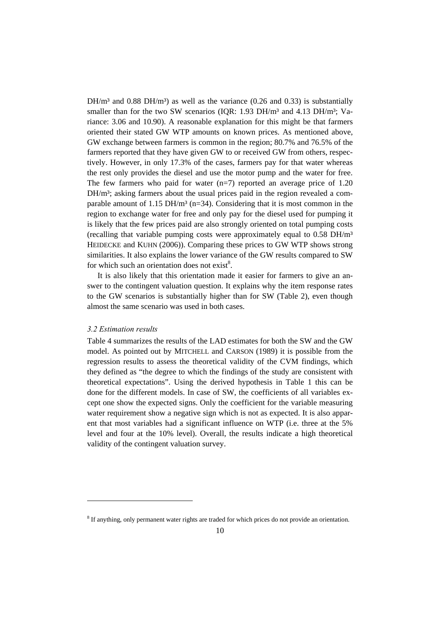$DH/m<sup>3</sup>$  and 0.88  $DH/m<sup>3</sup>$ ) as well as the variance (0.26 and 0.33) is substantially smaller than for the two SW scenarios (IQR:  $1.93$  DH/m<sup>3</sup> and  $4.13$  DH/m<sup>3</sup>; Variance: 3.06 and 10.90). A reasonable explanation for this might be that farmers oriented their stated GW WTP amounts on known prices. As mentioned above, GW exchange between farmers is common in the region; 80.7% and 76.5% of the farmers reported that they have given GW to or received GW from others, respectively. However, in only 17.3% of the cases, farmers pay for that water whereas the rest only provides the diesel and use the motor pump and the water for free. The few farmers who paid for water  $(n=7)$  reported an average price of 1.20  $DH/m<sup>3</sup>$ ; asking farmers about the usual prices paid in the region revealed a comparable amount of 1.15 DH/m<sup>3</sup> (n=34). Considering that it is most common in the region to exchange water for free and only pay for the diesel used for pumping it is likely that the few prices paid are also strongly oriented on total pumping costs (recalling that variable pumping costs were approximately equal to  $0.58$  DH/m<sup>3</sup> HEIDECKE and KUHN (2006)). Comparing these prices to GW WTP shows strong similarities. It also explains the lower variance of the GW results compared to SW for which such an orientation does not exist $8$ .

It is also likely that this orientation made it easier for farmers to give an answer to the contingent valuation question. It explains why the item response rates to the GW scenarios is substantially higher than for SW (Table 2), even though almost the same scenario was used in both cases.

## *3.2 Estimation results*

l

Table 4 summarizes the results of the LAD estimates for both the SW and the GW model. As pointed out by MITCHELL and CARSON (1989) it is possible from the regression results to assess the theoretical validity of the CVM findings, which they defined as "the degree to which the findings of the study are consistent with theoretical expectations". Using the derived hypothesis in Table 1 this can be done for the different models. In case of SW, the coefficients of all variables except one show the expected signs. Only the coefficient for the variable measuring water requirement show a negative sign which is not as expected. It is also apparent that most variables had a significant influence on WTP (i.e. three at the 5% level and four at the 10% level). Overall, the results indicate a high theoretical validity of the contingent valuation survey.

 $8$  If anything, only permanent water rights are traded for which prices do not provide an orientation.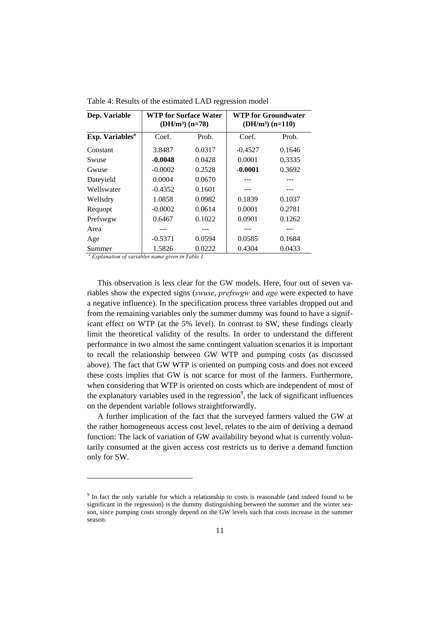| Dep. Variable               | <b>WTP for Surface Water</b><br>$(DH/m^3)$ $(n=78)$ |        | <b>WTP for Groundwater</b><br>$(DH/m3) (n=110)$ |        |
|-----------------------------|-----------------------------------------------------|--------|-------------------------------------------------|--------|
| Exp. Variables <sup>a</sup> | Coef.                                               | Prob.  | Coef.                                           | Prob.  |
| Constant                    | 3.8487                                              | 0.0317 | $-0.4527$                                       | 0.1646 |
| Swuse                       | $-0.0048$                                           | 0.0428 | 0.0001                                          | 0.3335 |
| Gwuse                       | $-0.0002$                                           | 0.2528 | $-0.0001$                                       | 0.3692 |
| Dateyield                   | 0.0004                                              | 0.0670 |                                                 |        |
| Wellswater                  | $-0.4352$                                           | 0.1601 |                                                 |        |
| Wellsdry                    | 1.0858                                              | 0.0982 | 0.1839                                          | 0.1037 |
| Requopt                     | $-0.0002$                                           | 0.0614 | 0.0001                                          | 0.2781 |
| Prefswgw                    | 0.6467                                              | 0.1022 | 0.0901                                          | 0.1262 |
| Area                        |                                                     |        |                                                 |        |
| Age                         | $-0.5371$                                           | 0.0594 | 0.0585                                          | 0.1684 |
| Summer                      | 1.5826                                              | 0.0222 | 0.4304                                          | 0.0433 |

Table 4: Results of the estimated LAD regression model

*a Explanation of variables name given in Table 1.* 

l

This observation is less clear for the GW models. Here, four out of seven variables show the expected signs (*swuse*, *prefswgw* and *age* were expected to have a negative influence). In the specification process three variables dropped out and from the remaining variables only the summer dummy was found to have a significant effect on WTP (at the 5% level). In contrast to SW, these findings clearly limit the theoretical validity of the results. In order to understand the different performance in two almost the same contingent valuation scenarios it is important to recall the relationship between GW WTP and pumping costs (as discussed above). The fact that GW WTP is oriented on pumping costs and does not exceed these costs implies that GW is not scarce for most of the farmers. Furthermore, when considering that WTP is oriented on costs which are independent of most of the explanatory variables used in the regression<sup>9</sup>, the lack of significant influences on the dependent variable follows straightforwardly.

A further implication of the fact that the surveyed farmers valued the GW at the rather homogeneous access cost level, relates to the aim of deriving a demand function: The lack of variation of GW availability beyond what is currently voluntarily consumed at the given access cost restricts us to derive a demand function only for SW.

<sup>&</sup>lt;sup>9</sup> In fact the only variable for which a relationship to costs is reasonable (and indeed found to be significant in the regression) is the dummy distinguishing between the summer and the winter season, since pumping costs strongly depend on the GW levels such that costs increase in the summer season.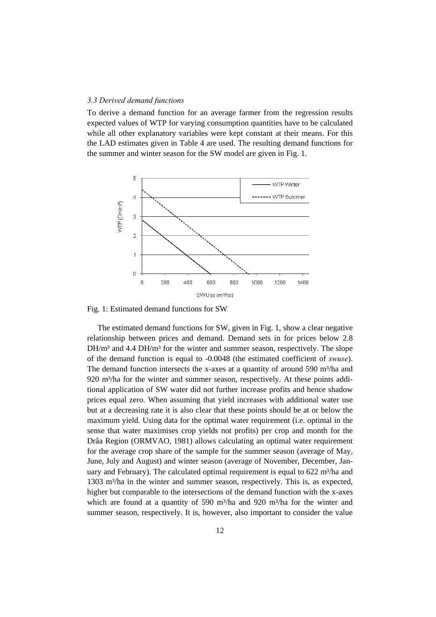#### *3.3 Derived demand functions*

To derive a demand function for an average farmer from the regression results expected values of WTP for varying consumption quantities have to be calculated while all other explanatory variables were kept constant at their means. For this the LAD estimates given in Table 4 are used. The resulting demand functions for the summer and winter season for the SW model are given in Fig. 1.



Fig. 1: Estimated demand functions for SW

The estimated demand functions for SW, given in Fig. 1, show a clear negative relationship between prices and demand. Demand sets in for prices below 2.8 DH/m<sup>3</sup> and 4.4 DH/m<sup>3</sup> for the winter and summer season, respectively. The slope of the demand function is equal to -0.0048 (the estimated coefficient of *swuse*). The demand function intersects the x-axes at a quantity of around 590 m<sup>3</sup>/ha and 920 m<sup>3</sup>/ha for the winter and summer season, respectively. At these points additional application of SW water did not further increase profits and hence shadow prices equal zero. When assuming that yield increases with additional water use but at a decreasing rate it is also clear that these points should be at or below the maximum yield. Using data for the optimal water requirement (i.e. optimal in the sense that water maximises crop yields not profits) per crop and month for the Drâa Region (ORMVAO, 1981) allows calculating an optimal water requirement for the average crop share of the sample for the summer season (average of May, June, July and August) and winter season (average of November, December, January and February). The calculated optimal requirement is equal to  $622 \text{ m}^3/\text{ha}$  and 1303 m<sup>3</sup>/ha in the winter and summer season, respectively. This is, as expected, higher but comparable to the intersections of the demand function with the x-axes which are found at a quantity of 590 m<sup>3</sup>/ha and 920 m<sup>3</sup>/ha for the winter and summer season, respectively. It is, however, also important to consider the value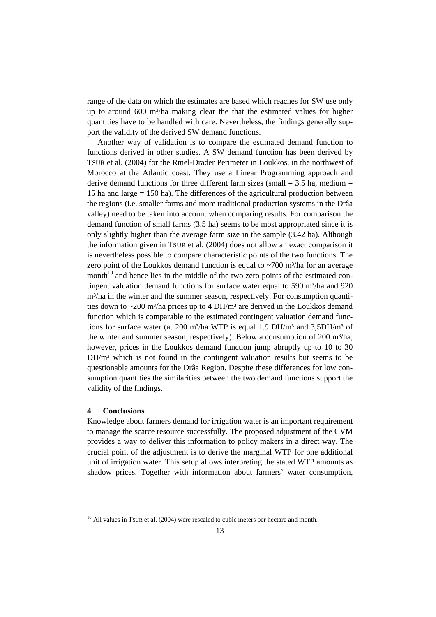range of the data on which the estimates are based which reaches for SW use only up to around  $600 \text{ m}^3/\text{ha}$  making clear the that the estimated values for higher quantities have to be handled with care. Nevertheless, the findings generally support the validity of the derived SW demand functions.

Another way of validation is to compare the estimated demand function to functions derived in other studies. A SW demand function has been derived by TSUR et al. (2004) for the Rmel-Drader Perimeter in Loukkos, in the northwest of Morocco at the Atlantic coast. They use a Linear Programming approach and derive demand functions for three different farm sizes (small  $=$  3.5 ha, medium  $=$ 15 ha and large = 150 ha). The differences of the agricultural production between the regions (i.e. smaller farms and more traditional production systems in the Drâa valley) need to be taken into account when comparing results. For comparison the demand function of small farms (3.5 ha) seems to be most appropriated since it is only slightly higher than the average farm size in the sample (3.42 ha). Although the information given in TSUR et al. (2004) does not allow an exact comparison it is nevertheless possible to compare characteristic points of the two functions. The zero point of the Loukkos demand function is equal to  $\sim$ 700 m<sup>3</sup>/ha for an average month<sup>10</sup> and hence lies in the middle of the two zero points of the estimated contingent valuation demand functions for surface water equal to 590 m<sup>3</sup>/ha and 920 m<sup>3</sup>/ha in the winter and the summer season, respectively. For consumption quantities down to  $\sim$ 200 m<sup>3</sup>/ha prices up to 4 DH/m<sup>3</sup> are derived in the Loukkos demand function which is comparable to the estimated contingent valuation demand functions for surface water (at 200 m<sup>3</sup>/ha WTP is equal 1.9 DH/m<sup>3</sup> and 3,5DH/m<sup>3</sup> of the winter and summer season, respectively). Below a consumption of 200 m<sup>3</sup>/ha, however, prices in the Loukkos demand function jump abruptly up to 10 to 30  $DH/m<sup>3</sup>$  which is not found in the contingent valuation results but seems to be questionable amounts for the Drâa Region. Despite these differences for low consumption quantities the similarities between the two demand functions support the validity of the findings.

# **4 Conclusions**

l

Knowledge about farmers demand for irrigation water is an important requirement to manage the scarce resource successfully. The proposed adjustment of the CVM provides a way to deliver this information to policy makers in a direct way. The crucial point of the adjustment is to derive the marginal WTP for one additional unit of irrigation water. This setup allows interpreting the stated WTP amounts as shadow prices. Together with information about farmers' water consumption,

 $10$  All values in TSUR et al. (2004) were rescaled to cubic meters per hectare and month.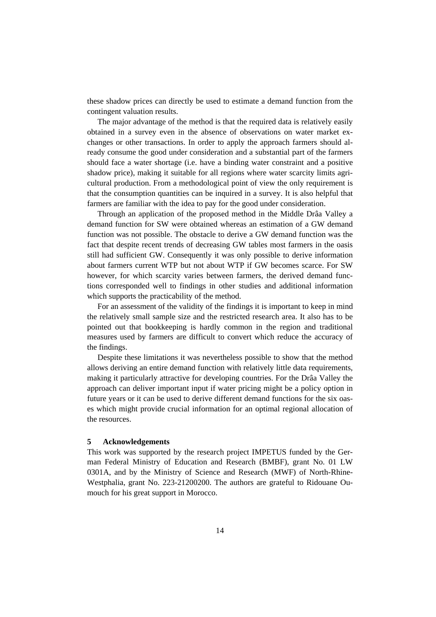these shadow prices can directly be used to estimate a demand function from the contingent valuation results.

The major advantage of the method is that the required data is relatively easily obtained in a survey even in the absence of observations on water market exchanges or other transactions. In order to apply the approach farmers should already consume the good under consideration and a substantial part of the farmers should face a water shortage (i.e. have a binding water constraint and a positive shadow price), making it suitable for all regions where water scarcity limits agricultural production. From a methodological point of view the only requirement is that the consumption quantities can be inquired in a survey. It is also helpful that farmers are familiar with the idea to pay for the good under consideration.

Through an application of the proposed method in the Middle Drâa Valley a demand function for SW were obtained whereas an estimation of a GW demand function was not possible. The obstacle to derive a GW demand function was the fact that despite recent trends of decreasing GW tables most farmers in the oasis still had sufficient GW. Consequently it was only possible to derive information about farmers current WTP but not about WTP if GW becomes scarce. For SW however, for which scarcity varies between farmers, the derived demand functions corresponded well to findings in other studies and additional information which supports the practicability of the method.

For an assessment of the validity of the findings it is important to keep in mind the relatively small sample size and the restricted research area. It also has to be pointed out that bookkeeping is hardly common in the region and traditional measures used by farmers are difficult to convert which reduce the accuracy of the findings.

Despite these limitations it was nevertheless possible to show that the method allows deriving an entire demand function with relatively little data requirements, making it particularly attractive for developing countries. For the Drâa Valley the approach can deliver important input if water pricing might be a policy option in future years or it can be used to derive different demand functions for the six oases which might provide crucial information for an optimal regional allocation of the resources.

#### **5 Acknowledgements**

This work was supported by the research project IMPETUS funded by the German Federal Ministry of Education and Research (BMBF), grant No. 01 LW 0301A, and by the Ministry of Science and Research (MWF) of North-Rhine-Westphalia, grant No. 223-21200200. The authors are grateful to Ridouane Oumouch for his great support in Morocco.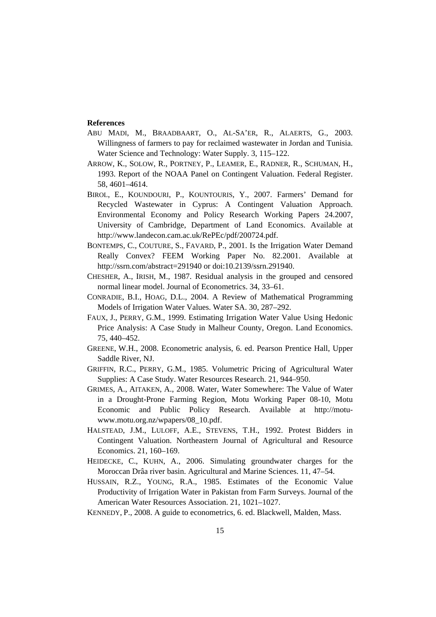#### **References**

- ABU MADI, M., BRAADBAART, O., AL-SA'ER, R., ALAERTS, G., 2003. Willingness of farmers to pay for reclaimed wastewater in Jordan and Tunisia. Water Science and Technology: Water Supply. 3, 115–122.
- ARROW, K., SOLOW, R., PORTNEY, P., LEAMER, E., RADNER, R., SCHUMAN, H., 1993. Report of the NOAA Panel on Contingent Valuation. Federal Register. 58, 4601–4614.
- BIROL, E., KOUNDOURI, P., KOUNTOURIS, Y., 2007. Farmers' Demand for Recycled Wastewater in Cyprus: A Contingent Valuation Approach. Environmental Economy and Policy Research Working Papers 24.2007, University of Cambridge, Department of Land Economics. Available at http://www.landecon.cam.ac.uk/RePEc/pdf/200724.pdf.
- BONTEMPS, C., COUTURE, S., FAVARD, P., 2001. Is the Irrigation Water Demand Really Convex? FEEM Working Paper No. 82.2001. Available at http://ssrn.com/abstract=291940 or doi:10.2139/ssrn.291940.
- CHESHER, A., IRISH, M., 1987. Residual analysis in the grouped and censored normal linear model. Journal of Econometrics. 34, 33–61.
- CONRADIE, B.I., HOAG, D.L., 2004. A Review of Mathematical Programming Models of Irrigation Water Values. Water SA. 30, 287–292.
- FAUX, J., PERRY, G.M., 1999. Estimating Irrigation Water Value Using Hedonic Price Analysis: A Case Study in Malheur County, Oregon. Land Economics. 75, 440–452.
- GREENE, W.H., 2008. Econometric analysis, 6. ed. Pearson Prentice Hall, Upper Saddle River, NJ.
- GRIFFIN, R.C., PERRY, G.M., 1985. Volumetric Pricing of Agricultural Water Supplies: A Case Study. Water Resources Research. 21, 944–950.
- GRIMES, A., AITAKEN, A., 2008. Water, Water Somewhere: The Value of Water in a Drought-Prone Farming Region, Motu Working Paper 08-10, Motu Economic and Public Policy Research. Available at http://motuwww.motu.org.nz/wpapers/08\_10.pdf.
- HALSTEAD, J.M., LULOFF, A.E., STEVENS, T.H., 1992. Protest Bidders in Contingent Valuation. Northeastern Journal of Agricultural and Resource Economics. 21, 160–169.
- HEIDECKE, C., KUHN, A., 2006. Simulating groundwater charges for the Moroccan Drâa river basin. Agricultural and Marine Sciences. 11, 47–54.
- HUSSAIN, R.Z., YOUNG, R.A., 1985. Estimates of the Economic Value Productivity of Irrigation Water in Pakistan from Farm Surveys. Journal of the American Water Resources Association. 21, 1021–1027.
- KENNEDY, P., 2008. A guide to econometrics, 6. ed. Blackwell, Malden, Mass.